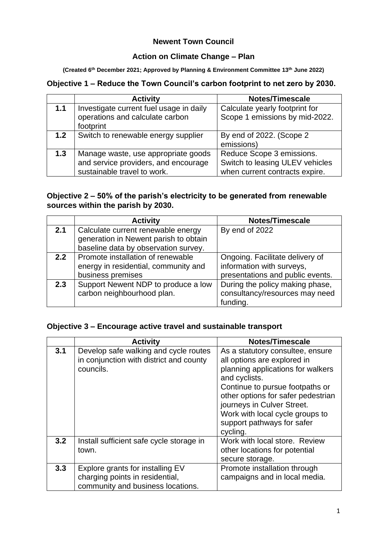### **Newent Town Council**

#### **Action on Climate Change – Plan**

**(Created 6th December 2021; Approved by Planning & Environment Committee 13th June 2022)**

## **Objective 1 – Reduce the Town Council's carbon footprint to net zero by 2030.**

|     | <b>Activity</b>                         | Notes/Timescale                 |
|-----|-----------------------------------------|---------------------------------|
| 1.1 | Investigate current fuel usage in daily | Calculate yearly footprint for  |
|     | operations and calculate carbon         | Scope 1 emissions by mid-2022.  |
|     | footprint                               |                                 |
| 1.2 | Switch to renewable energy supplier     | By end of 2022. (Scope 2        |
|     |                                         | emissions)                      |
| 1.3 | Manage waste, use appropriate goods     | Reduce Scope 3 emissions.       |
|     | and service providers, and encourage    | Switch to leasing ULEV vehicles |
|     | sustainable travel to work.             | when current contracts expire.  |

#### **Objective 2 – 50% of the parish's electricity to be generated from renewable sources within the parish by 2030.**

|     | <b>Activity</b>                       | Notes/Timescale                  |
|-----|---------------------------------------|----------------------------------|
| 2.1 | Calculate current renewable energy    | By end of 2022                   |
|     | generation in Newent parish to obtain |                                  |
|     | baseline data by observation survey.  |                                  |
| 2.2 | Promote installation of renewable     | Ongoing. Facilitate delivery of  |
|     | energy in residential, community and  | information with surveys,        |
|     | business premises                     | presentations and public events. |
| 2.3 | Support Newent NDP to produce a low   | During the policy making phase,  |
|     | carbon neighbourhood plan.            | consultancy/resources may need   |
|     |                                       | funding.                         |

#### **Objective 3 – Encourage active travel and sustainable transport**

|     | <b>Activity</b>                                                                                          | Notes/Timescale                                                                                                                                                                                                                                                                                           |
|-----|----------------------------------------------------------------------------------------------------------|-----------------------------------------------------------------------------------------------------------------------------------------------------------------------------------------------------------------------------------------------------------------------------------------------------------|
| 3.1 | Develop safe walking and cycle routes<br>in conjunction with district and county<br>councils.            | As a statutory consultee, ensure<br>all options are explored in<br>planning applications for walkers<br>and cyclists.<br>Continue to pursue footpaths or<br>other options for safer pedestrian<br>journeys in Culver Street.<br>Work with local cycle groups to<br>support pathways for safer<br>cycling. |
| 3.2 | Install sufficient safe cycle storage in<br>town.                                                        | Work with local store. Review<br>other locations for potential<br>secure storage.                                                                                                                                                                                                                         |
| 3.3 | Explore grants for installing EV<br>charging points in residential,<br>community and business locations. | Promote installation through<br>campaigns and in local media.                                                                                                                                                                                                                                             |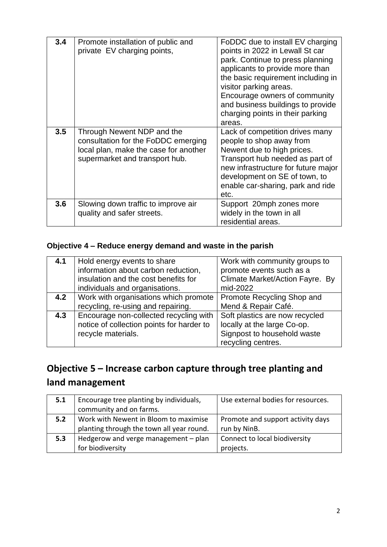| 3.4 | Promote installation of public and<br>private EV charging points,                                                                            | FoDDC due to install EV charging<br>points in 2022 in Lewall St car<br>park. Continue to press planning<br>applicants to provide more than<br>the basic requirement including in<br>visitor parking areas.<br>Encourage owners of community<br>and business buildings to provide<br>charging points in their parking<br>areas. |
|-----|----------------------------------------------------------------------------------------------------------------------------------------------|--------------------------------------------------------------------------------------------------------------------------------------------------------------------------------------------------------------------------------------------------------------------------------------------------------------------------------|
| 3.5 | Through Newent NDP and the<br>consultation for the FoDDC emerging<br>local plan, make the case for another<br>supermarket and transport hub. | Lack of competition drives many<br>people to shop away from<br>Newent due to high prices.<br>Transport hub needed as part of<br>new infrastructure for future major<br>development on SE of town, to<br>enable car-sharing, park and ride<br>etc.                                                                              |
| 3.6 | Slowing down traffic to improve air<br>quality and safer streets.                                                                            | Support 20mph zones more<br>widely in the town in all<br>residential areas.                                                                                                                                                                                                                                                    |

# **Objective 4 – Reduce energy demand and waste in the parish**

| 4.1 | Hold energy events to share<br>information about carbon reduction,<br>insulation and the cost benefits for<br>individuals and organisations. | Work with community groups to<br>promote events such as a<br>Climate Market/Action Fayre. By<br>mid-2022           |
|-----|----------------------------------------------------------------------------------------------------------------------------------------------|--------------------------------------------------------------------------------------------------------------------|
| 4.2 | Work with organisations which promote<br>recycling, re-using and repairing.                                                                  | Promote Recycling Shop and<br>Mend & Repair Café.                                                                  |
| 4.3 | Encourage non-collected recycling with<br>notice of collection points for harder to<br>recycle materials.                                    | Soft plastics are now recycled<br>locally at the large Co-op.<br>Signpost to household waste<br>recycling centres. |

# **Objective 5 – Increase carbon capture through tree planting and land management**

| 5.1 | Encourage tree planting by individuals,   | Use external bodies for resources. |
|-----|-------------------------------------------|------------------------------------|
|     | community and on farms.                   |                                    |
| 5.2 | Work with Newent in Bloom to maximise     | Promote and support activity days  |
|     | planting through the town all year round. | run by NinB.                       |
| 5.3 | Hedgerow and verge management $-$ plan    | Connect to local biodiversity      |
|     | for biodiversity                          | projects.                          |